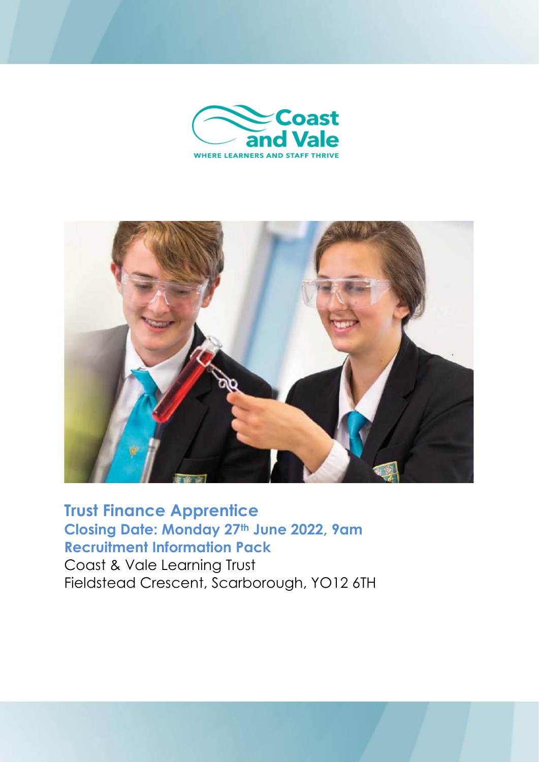



## **Trust Finance Apprentice Closing Date: Monday 27th June 2022, 9am Recruitment Information Pack**

Coast & Vale Learning Trust Fieldstead Crescent, Scarborough, YO12 6TH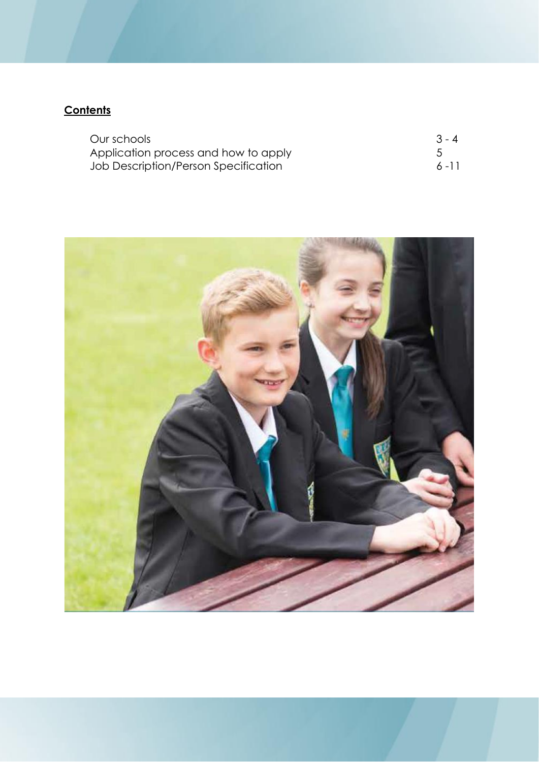## **Contents**

| Our schools                          | $3 - 4$  |
|--------------------------------------|----------|
| Application process and how to apply |          |
| Job Description/Person Specification | $6 - 11$ |

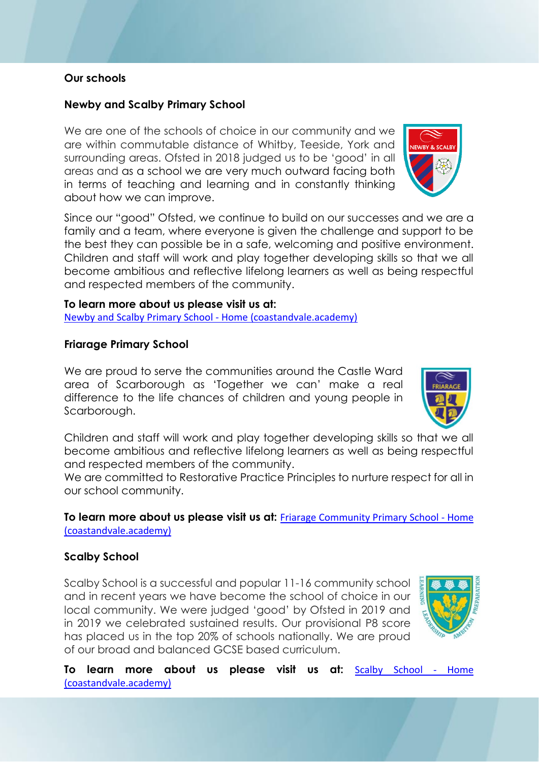## **Our schools**

## **Newby and Scalby Primary School**

We are one of the schools of choice in our community and we are within commutable distance of Whitby, Teeside, York and surrounding areas. Ofsted in 2018 judged us to be 'good' in all areas and as a school we are very much outward facing both in terms of teaching and learning and in constantly thinking about how we can improve.

Since our "good" Ofsted, we continue to build on our successes and we are a family and a team, where everyone is given the challenge and support to be the best they can possible be in a safe, welcoming and positive environment. Children and staff will work and play together developing skills so that we all become ambitious and reflective lifelong learners as well as being respectful and respected members of the community.

#### **To learn more about us please visit us at:**

[Newby and Scalby Primary School -](https://www.newbyandscalby.coastandvale.academy/) Home (coastandvale.academy)

#### **Friarage Primary School**

We are proud to serve the communities around the Castle Ward area of Scarborough as 'Together we can' make a real difference to the life chances of children and young people in Scarborough.

Children and staff will work and play together developing skills so that we all become ambitious and reflective lifelong learners as well as being respectful and respected members of the community.

We are committed to Restorative Practice Principles to nurture respect for all in our school community.

**To learn more about us please visit us at:** [Friarage Community Primary School -](https://www.friarage.coastandvale.academy/) Home [\(coastandvale.academy\)](https://www.friarage.coastandvale.academy/)

### **Scalby School**

Scalby School is a successful and popular 11-16 community school  $\frac{1}{2}$ and in recent years we have become the school of choice in our local community. We were judged 'good' by Ofsted in 2019 and in 2019 we celebrated sustained results. Our provisional P8 score has placed us in the top 20% of schools nationally. We are proud of our broad and balanced GCSE based curriculum.



**To learn more about us please visit us at:** [Scalby School -](https://www.scalby.coastandvale.academy/) Home [\(coastandvale.academy\)](https://www.scalby.coastandvale.academy/)



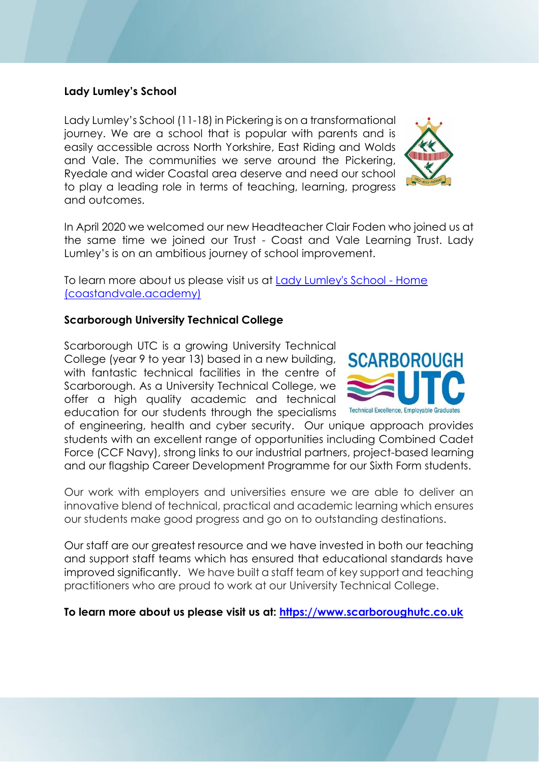## **Lady Lumley's School**

Lady Lumley's School (11-18) in Pickering is on a transformational journey. We are a school that is popular with parents and is easily accessible across North Yorkshire, East Riding and Wolds and Vale. The communities we serve around the Pickering, Ryedale and wider Coastal area deserve and need our school to play a leading role in terms of teaching, learning, progress and outcomes.



In April 2020 we welcomed our new Headteacher Clair Foden who joined us at the same time we joined our Trust - Coast and Vale Learning Trust. Lady Lumley's is on an ambitious journey of school improvement.

To learn more about us please visit us at **Lady Lumley's School - Home** [\(coastandvale.academy\)](https://www.ladylumleys.coastandvale.academy/)

#### **Scarborough University Technical College**

Scarborough UTC is a growing University Technical College (year 9 to year 13) based in a new building, with fantastic technical facilities in the centre of Scarborough. As a University Technical College, we offer a high quality academic and technical education for our students through the specialisms



of engineering, health and cyber security. Our unique approach provides students with an excellent range of opportunities including Combined Cadet Force (CCF Navy), strong links to our industrial partners, project-based learning and our flagship Career Development Programme for our Sixth Form students.

Our work with employers and universities ensure we are able to deliver an innovative blend of technical, practical and academic learning which ensures our students make good progress and go on to outstanding destinations.

Our staff are our greatest resource and we have invested in both our teaching and support staff teams which has ensured that educational standards have improved significantly. We have built a staff team of key support and teaching practitioners who are proud to work at our University Technical College.

**To learn more about us please visit us at: [https://www.scarboroughutc.co.uk](https://www.scarboroughutc.co.uk/)**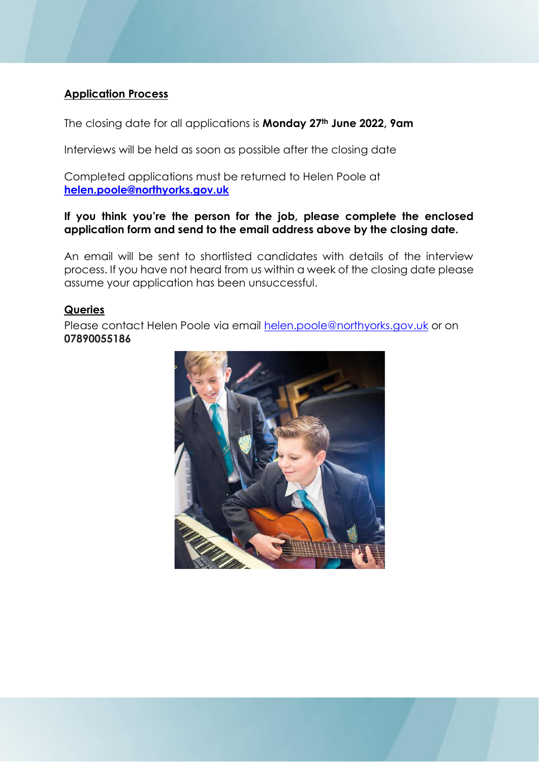## **Application Process**

The closing date for all applications is **Monday 27th June 2022, 9am**

Interviews will be held as soon as possible after the closing date

Completed applications must be returned to Helen Poole at **[helen.poole@northyorks.gov.uk](mailto:helen.poole@northyorks.gov.uk)**

#### **If you think you're the person for the job, please complete the enclosed application form and send to the email address above by the closing date.**

An email will be sent to shortlisted candidates with details of the interview process. If you have not heard from us within a week of the closing date please assume your application has been unsuccessful.

#### **Queries**

Please contact Helen Poole via email [helen.poole@northyorks.gov.uk](mailto:helen.poole@northyorks.gov.uk) or on **07890055186**

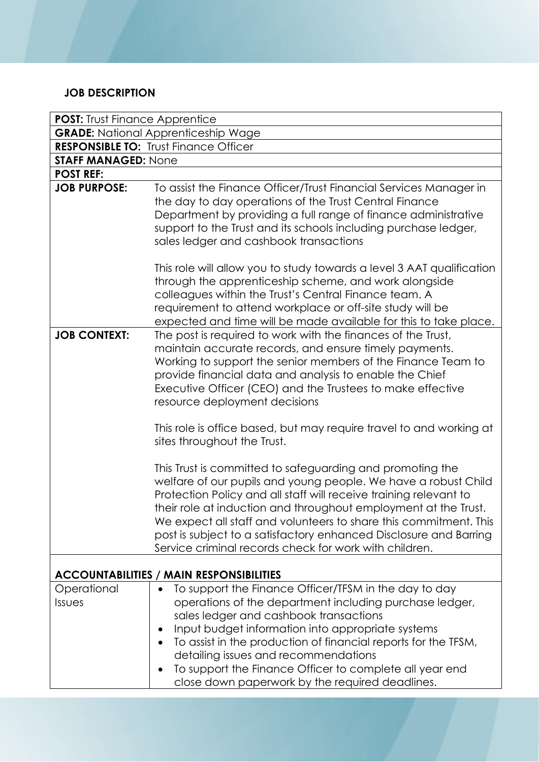## **JOB DESCRIPTION**

| <b>POST:</b> Trust Finance Apprentice           |                                                                                                                                                                                                                                                                                                                                                                                                                                                                         |  |  |  |
|-------------------------------------------------|-------------------------------------------------------------------------------------------------------------------------------------------------------------------------------------------------------------------------------------------------------------------------------------------------------------------------------------------------------------------------------------------------------------------------------------------------------------------------|--|--|--|
| <b>GRADE:</b> National Apprenticeship Wage      |                                                                                                                                                                                                                                                                                                                                                                                                                                                                         |  |  |  |
|                                                 | <b>RESPONSIBLE TO: Trust Finance Officer</b>                                                                                                                                                                                                                                                                                                                                                                                                                            |  |  |  |
| <b>STAFF MANAGED: None</b>                      |                                                                                                                                                                                                                                                                                                                                                                                                                                                                         |  |  |  |
| <b>POST REF:</b>                                |                                                                                                                                                                                                                                                                                                                                                                                                                                                                         |  |  |  |
| <b>JOB PURPOSE:</b>                             | To assist the Finance Officer/Trust Financial Services Manager in<br>the day to day operations of the Trust Central Finance<br>Department by providing a full range of finance administrative<br>support to the Trust and its schools including purchase ledger,<br>sales ledger and cashbook transactions                                                                                                                                                              |  |  |  |
|                                                 | This role will allow you to study towards a level 3 AAT qualification<br>through the apprenticeship scheme, and work alongside<br>colleagues within the Trust's Central Finance team. A<br>requirement to attend workplace or off-site study will be<br>expected and time will be made available for this to take place.                                                                                                                                                |  |  |  |
| <b>JOB CONTEXT:</b>                             | The post is required to work with the finances of the Trust,<br>maintain accurate records, and ensure timely payments.<br>Working to support the senior members of the Finance Team to<br>provide financial data and analysis to enable the Chief<br>Executive Officer (CEO) and the Trustees to make effective<br>resource deployment decisions                                                                                                                        |  |  |  |
|                                                 | This role is office based, but may require travel to and working at<br>sites throughout the Trust.                                                                                                                                                                                                                                                                                                                                                                      |  |  |  |
|                                                 | This Trust is committed to safeguarding and promoting the<br>welfare of our pupils and young people. We have a robust Child<br>Protection Policy and all staff will receive training relevant to<br>their role at induction and throughout employment at the Trust.<br>We expect all staff and volunteers to share this commitment. This<br>post is subject to a satisfactory enhanced Disclosure and Barring<br>Service criminal records check for work with children. |  |  |  |
| <b>ACCOUNTABILITIES / MAIN RESPONSIBILITIES</b> |                                                                                                                                                                                                                                                                                                                                                                                                                                                                         |  |  |  |
| Operational<br>Issues                           | To support the Finance Officer/TFSM in the day to day<br>operations of the department including purchase ledger,<br>sales ledger and cashbook transactions<br>Input budget information into appropriate systems<br>To assist in the production of financial reports for the TFSM,<br>detailing issues and recommendations<br>To support the Finance Officer to complete all year end<br>close down paperwork by the required deadlines.                                 |  |  |  |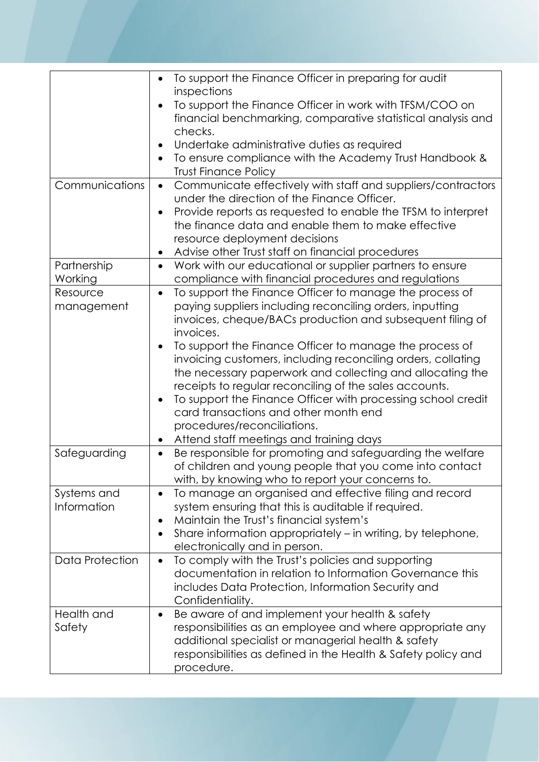|                            | To support the Finance Officer in preparing for audit<br>$\bullet$                                                                                                                                                                                                                                                                                                                                                                                          |
|----------------------------|-------------------------------------------------------------------------------------------------------------------------------------------------------------------------------------------------------------------------------------------------------------------------------------------------------------------------------------------------------------------------------------------------------------------------------------------------------------|
|                            | inspections<br>To support the Finance Officer in work with TFSM/COO on<br>financial benchmarking, comparative statistical analysis and<br>checks.                                                                                                                                                                                                                                                                                                           |
|                            | Undertake administrative duties as required<br>To ensure compliance with the Academy Trust Handbook &<br><b>Trust Finance Policy</b>                                                                                                                                                                                                                                                                                                                        |
| Communications             | Communicate effectively with staff and suppliers/contractors<br>$\bullet$<br>under the direction of the Finance Officer.<br>Provide reports as requested to enable the TFSM to interpret<br>$\bullet$<br>the finance data and enable them to make effective<br>resource deployment decisions<br>Advise other Trust staff on financial procedures<br>$\bullet$                                                                                               |
| Partnership<br>Working     | Work with our educational or supplier partners to ensure<br>$\bullet$<br>compliance with financial procedures and regulations                                                                                                                                                                                                                                                                                                                               |
| Resource<br>management     | To support the Finance Officer to manage the process of<br>$\bullet$<br>paying suppliers including reconciling orders, inputting<br>invoices, cheque/BACs production and subsequent filing of<br>invoices.                                                                                                                                                                                                                                                  |
|                            | To support the Finance Officer to manage the process of<br>invoicing customers, including reconciling orders, collating<br>the necessary paperwork and collecting and allocating the<br>receipts to regular reconciling of the sales accounts.<br>To support the Finance Officer with processing school credit<br>$\bullet$<br>card transactions and other month end<br>procedures/reconciliations.<br>Attend staff meetings and training days<br>$\bullet$ |
| Safeguarding               | Be responsible for promoting and safeguarding the welfare<br>$\bullet$<br>of children and young people that you come into contact<br>with, by knowing who to report your concerns to.                                                                                                                                                                                                                                                                       |
| Systems and<br>Information | To manage an organised and effective filing and record<br>$\bullet$<br>system ensuring that this is auditable if required.<br>Maintain the Trust's financial system's<br>$\bullet$<br>Share information appropriately – in writing, by telephone,<br>٠<br>electronically and in person.                                                                                                                                                                     |
| <b>Data Protection</b>     | To comply with the Trust's policies and supporting<br>$\bullet$<br>documentation in relation to Information Governance this<br>includes Data Protection, Information Security and<br>Confidentiality.                                                                                                                                                                                                                                                       |
| Health and<br>Safety       | Be aware of and implement your health & safety<br>$\bullet$<br>responsibilities as an employee and where appropriate any<br>additional specialist or managerial health & safety<br>responsibilities as defined in the Health & Safety policy and<br>procedure.                                                                                                                                                                                              |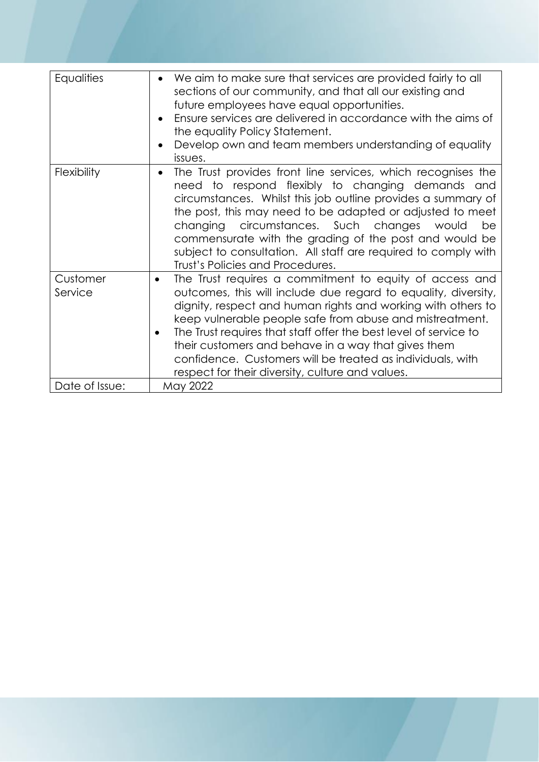| Equalities          | We aim to make sure that services are provided fairly to all<br>$\bullet$<br>sections of our community, and that all our existing and<br>future employees have equal opportunities.<br>Ensure services are delivered in accordance with the aims of<br>$\bullet$<br>the equality Policy Statement.<br>Develop own and team members understanding of equality<br>issues.                                                                                                                                         |
|---------------------|-----------------------------------------------------------------------------------------------------------------------------------------------------------------------------------------------------------------------------------------------------------------------------------------------------------------------------------------------------------------------------------------------------------------------------------------------------------------------------------------------------------------|
| <b>Flexibility</b>  | The Trust provides front line services, which recognises the<br>$\bullet$<br>need to respond flexibly to changing demands and<br>circumstances. Whilst this job outline provides a summary of<br>the post, this may need to be adapted or adjusted to meet<br>changing circumstances. Such changes<br>would<br>be<br>commensurate with the grading of the post and would be<br>subject to consultation. All staff are required to comply with<br>Trust's Policies and Procedures.                               |
| Customer<br>Service | The Trust requires a commitment to equity of access and<br>$\bullet$<br>outcomes, this will include due regard to equality, diversity,<br>dignity, respect and human rights and working with others to<br>keep vulnerable people safe from abuse and mistreatment.<br>The Trust requires that staff offer the best level of service to<br>their customers and behave in a way that gives them<br>confidence. Customers will be treated as individuals, with<br>respect for their diversity, culture and values. |
| Date of Issue:      | May 2022                                                                                                                                                                                                                                                                                                                                                                                                                                                                                                        |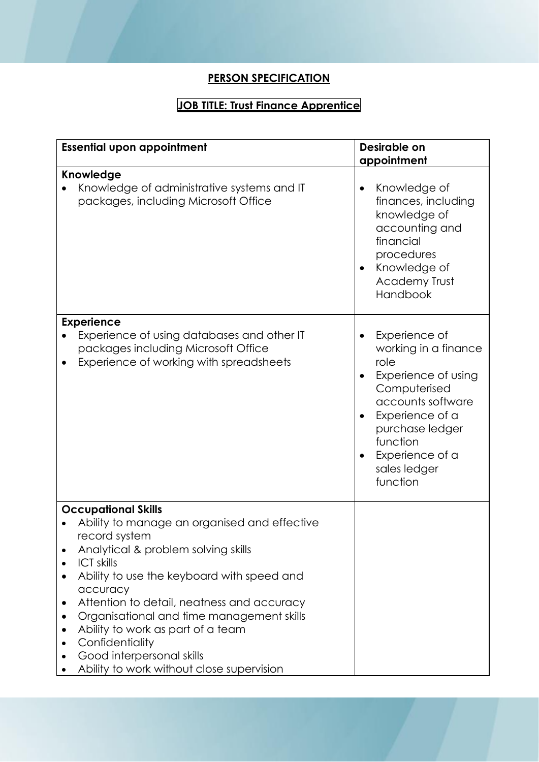## **PERSON SPECIFICATION**

# **JOB TITLE: Trust Finance Apprentice**

| <b>Essential upon appointment</b>                                                                                                                                                                                                                                                                                                                                                                                                                                        | Desirable on<br>appointment                                                                                                                                                                                             |  |
|--------------------------------------------------------------------------------------------------------------------------------------------------------------------------------------------------------------------------------------------------------------------------------------------------------------------------------------------------------------------------------------------------------------------------------------------------------------------------|-------------------------------------------------------------------------------------------------------------------------------------------------------------------------------------------------------------------------|--|
| Knowledge<br>Knowledge of administrative systems and IT<br>packages, including Microsoft Office                                                                                                                                                                                                                                                                                                                                                                          | Knowledge of<br>finances, including<br>knowledge of<br>accounting and<br>financial<br>procedures<br>Knowledge of<br>Academy Trust<br>Handbook                                                                           |  |
| <b>Experience</b><br>Experience of using databases and other IT<br>packages including Microsoft Office<br>Experience of working with spreadsheets                                                                                                                                                                                                                                                                                                                        | Experience of<br>$\bullet$<br>working in a finance<br>role<br>Experience of using<br>Computerised<br>accounts software<br>Experience of a<br>purchase ledger<br>function<br>Experience of a<br>sales ledger<br>function |  |
| <b>Occupational Skills</b><br>Ability to manage an organised and effective<br>record system<br>Analytical & problem solving skills<br><b>ICT skills</b><br>Ability to use the keyboard with speed and<br>accuracy<br>Attention to detail, neatness and accuracy<br>$\bullet$<br>Organisational and time management skills<br>$\bullet$<br>Ability to work as part of a team<br>Confidentiality<br>Good interpersonal skills<br>Ability to work without close supervision |                                                                                                                                                                                                                         |  |